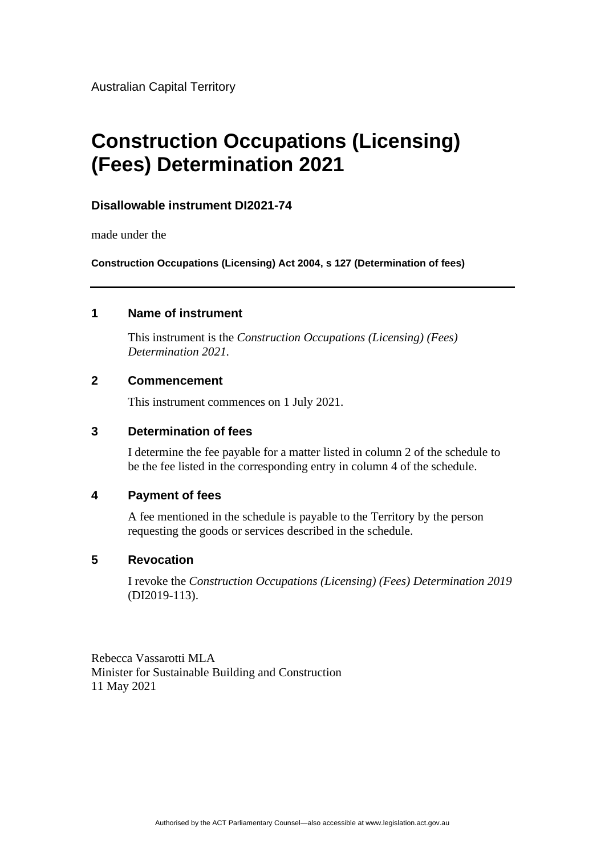Australian Capital Territory

# **Construction Occupations (Licensing) (Fees) Determination 2021**

## **Disallowable instrument DI2021-74**

made under the

**Construction Occupations (Licensing) Act 2004, s 127 (Determination of fees)**

### **1 Name of instrument**

This instrument is the *Construction Occupations (Licensing) (Fees) Determination 2021.*

### **2 Commencement**

This instrument commences on 1 July 2021.

## **3 Determination of fees**

I determine the fee payable for a matter listed in column 2 of the schedule to be the fee listed in the corresponding entry in column 4 of the schedule.

### **4 Payment of fees**

A fee mentioned in the schedule is payable to the Territory by the person requesting the goods or services described in the schedule.

#### **5 Revocation**

I revoke the *Construction Occupations (Licensing) (Fees) Determination 2019* (DI2019-113).

Rebecca Vassarotti MLA Minister for Sustainable Building and Construction 11 May 2021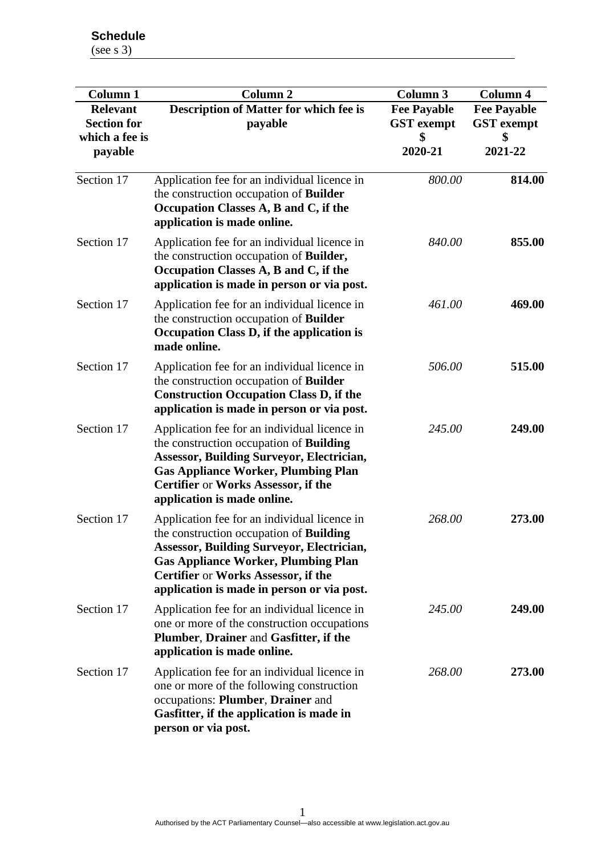**Schedule** (see s 3)

| <b>Column 1</b><br><b>Relevant</b>              | <b>Column 2</b><br>Description of Matter for which fee is                                                                                                                                                                                                                             | <b>Column 3</b><br><b>Fee Payable</b> | <b>Column 4</b><br><b>Fee Payable</b> |
|-------------------------------------------------|---------------------------------------------------------------------------------------------------------------------------------------------------------------------------------------------------------------------------------------------------------------------------------------|---------------------------------------|---------------------------------------|
| <b>Section for</b><br>which a fee is<br>payable | payable                                                                                                                                                                                                                                                                               | <b>GST</b> exempt<br>2020-21          | <b>GST</b> exempt<br>\$<br>2021-22    |
| Section 17                                      | Application fee for an individual licence in<br>the construction occupation of <b>Builder</b><br>Occupation Classes A, B and C, if the<br>application is made online.                                                                                                                 | 800.00                                | 814.00                                |
| Section 17                                      | Application fee for an individual licence in<br>the construction occupation of <b>Builder</b> ,<br>Occupation Classes A, B and C, if the<br>application is made in person or via post.                                                                                                | 840.00                                | 855.00                                |
| Section 17                                      | Application fee for an individual licence in<br>the construction occupation of <b>Builder</b><br>Occupation Class D, if the application is<br>made online.                                                                                                                            | 461.00                                | 469.00                                |
| Section 17                                      | Application fee for an individual licence in<br>the construction occupation of Builder<br><b>Construction Occupation Class D, if the</b><br>application is made in person or via post.                                                                                                | 506.00                                | 515.00                                |
| Section 17                                      | Application fee for an individual licence in<br>the construction occupation of <b>Building</b><br><b>Assessor, Building Surveyor, Electrician,</b><br><b>Gas Appliance Worker, Plumbing Plan</b><br>Certifier or Works Assessor, if the<br>application is made online.                | 245.00                                | 249.00                                |
| Section 17                                      | Application fee for an individual licence in<br>the construction occupation of <b>Building</b><br><b>Assessor, Building Surveyor, Electrician,</b><br><b>Gas Appliance Worker, Plumbing Plan</b><br>Certifier or Works Assessor, if the<br>application is made in person or via post. | 268.00                                | 273.00                                |
| Section 17                                      | Application fee for an individual licence in<br>one or more of the construction occupations<br>Plumber, Drainer and Gasfitter, if the<br>application is made online.                                                                                                                  | 245.00                                | 249.00                                |
| Section 17                                      | Application fee for an individual licence in<br>one or more of the following construction<br>occupations: Plumber, Drainer and<br>Gasfitter, if the application is made in<br>person or via post.                                                                                     | 268.00                                | 273.00                                |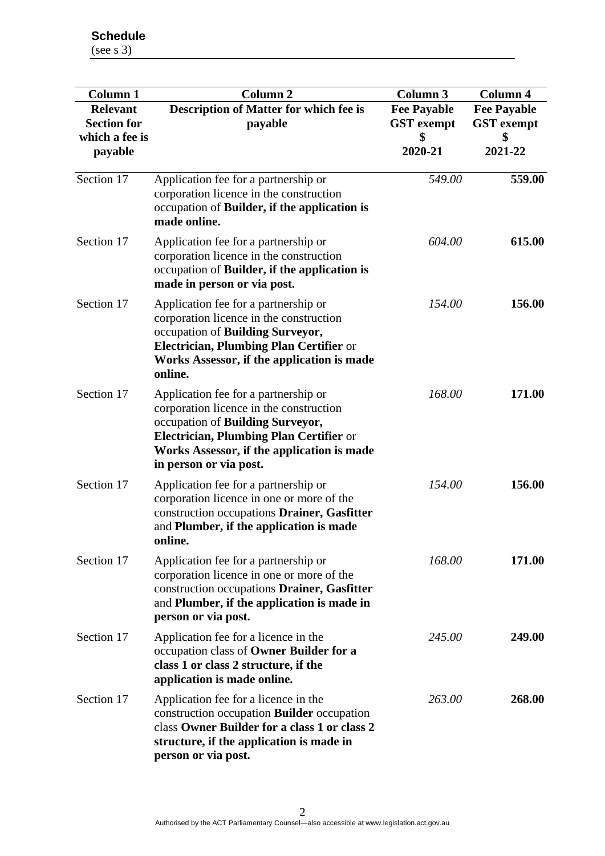**Schedule** (see s 3)

**Column 1 Column 2 Column 3 Column 4 Relevant Section for which a fee is payable Description of Matter for which fee is payable Fee Payable GST exempt \$ 2020-21 Fee Payable GST exempt \$ 2021-22** Section 17 Application fee for a partnership or corporation licence in the construction occupation of **Builder, if the application is made online.** *549.00* **559.00** Section 17 Application fee for a partnership or corporation licence in the construction occupation of **Builder, if the application is made in person or via post.** *604.00* **615.00** Section 17 Application fee for a partnership or corporation licence in the construction occupation of **Building Surveyor, Electrician, Plumbing Plan Certifier** or **Works Assessor, if the application is made online.** *154.00* **156.00** Section 17 Application fee for a partnership or corporation licence in the construction occupation of **Building Surveyor, Electrician, Plumbing Plan Certifier** or **Works Assessor, if the application is made in person or via post.** *168.00* **171.00** Section 17 Application fee for a partnership or corporation licence in one or more of the construction occupations **Drainer, Gasfitter**  and **Plumber, if the application is made online.** *154.00* **156.00** Section 17 Application fee for a partnership or corporation licence in one or more of the construction occupations **Drainer, Gasfitter**  and **Plumber, if the application is made in person or via post.** *168.00* **171.00** Section 17 Application fee for a licence in the occupation class of **Owner Builder for a class 1 or class 2 structure, if the application is made online.** *245.00* **249.00** Section 17 Application fee for a licence in the construction occupation **Builder** occupation class **Owner Builder for a class 1 or class 2 structure, if the application is made in person or via post.** *263.00* **268.00**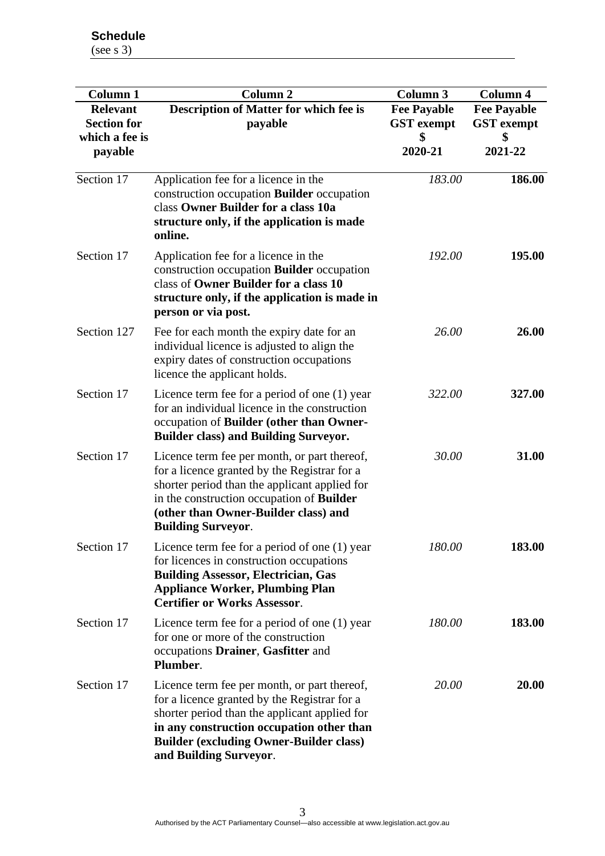| <b>Column 1</b><br><b>Relevant</b><br><b>Section for</b><br>which a fee is<br>payable | <b>Column 2</b><br>Description of Matter for which fee is<br>payable                                                                                                                                                                                                   | <b>Column 3</b><br><b>Fee Payable</b><br><b>GST</b> exempt<br>2020-21 | <b>Column 4</b><br><b>Fee Payable</b><br><b>GST</b> exempt<br>2021-22 |
|---------------------------------------------------------------------------------------|------------------------------------------------------------------------------------------------------------------------------------------------------------------------------------------------------------------------------------------------------------------------|-----------------------------------------------------------------------|-----------------------------------------------------------------------|
| Section 17                                                                            | Application fee for a licence in the<br>construction occupation <b>Builder</b> occupation<br>class Owner Builder for a class 10a<br>structure only, if the application is made<br>online.                                                                              | 183.00                                                                | 186.00                                                                |
| Section 17                                                                            | Application fee for a licence in the<br>construction occupation <b>Builder</b> occupation<br>class of Owner Builder for a class 10<br>structure only, if the application is made in<br>person or via post.                                                             | 192.00                                                                | 195.00                                                                |
| Section 127                                                                           | Fee for each month the expiry date for an<br>individual licence is adjusted to align the<br>expiry dates of construction occupations<br>licence the applicant holds.                                                                                                   | 26.00                                                                 | 26.00                                                                 |
| Section 17                                                                            | Licence term fee for a period of one (1) year<br>for an individual licence in the construction<br>occupation of Builder (other than Owner-<br><b>Builder class) and Building Surveyor.</b>                                                                             | 322.00                                                                | 327.00                                                                |
| Section 17                                                                            | Licence term fee per month, or part thereof,<br>for a licence granted by the Registrar for a<br>shorter period than the applicant applied for<br>in the construction occupation of <b>Builder</b><br>(other than Owner-Builder class) and<br><b>Building Surveyor.</b> | 30.00                                                                 | 31.00                                                                 |
| Section 17                                                                            | Licence term fee for a period of one (1) year<br>for licences in construction occupations<br><b>Building Assessor, Electrician, Gas</b><br><b>Appliance Worker, Plumbing Plan</b><br><b>Certifier or Works Assessor.</b>                                               | 180.00                                                                | 183.00                                                                |
| Section 17                                                                            | Licence term fee for a period of one $(1)$ year<br>for one or more of the construction<br>occupations Drainer, Gasfitter and<br>Plumber.                                                                                                                               | 180.00                                                                | 183.00                                                                |
| Section 17                                                                            | Licence term fee per month, or part thereof,<br>for a licence granted by the Registrar for a<br>shorter period than the applicant applied for<br>in any construction occupation other than<br><b>Builder (excluding Owner-Builder class)</b><br>and Building Surveyor. | <i>20.00</i>                                                          | <b>20.00</b>                                                          |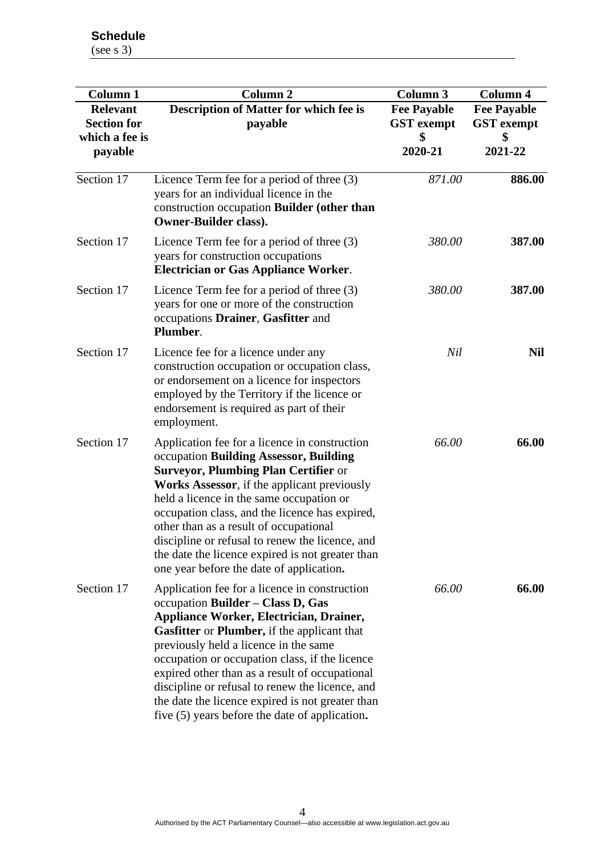| <b>Column 1</b>                                                    | <b>Column 2</b>                                                                                                                                                                                                                                                                                                                                                                                                                                                                           | Column 3                                           | Column 4                                           |
|--------------------------------------------------------------------|-------------------------------------------------------------------------------------------------------------------------------------------------------------------------------------------------------------------------------------------------------------------------------------------------------------------------------------------------------------------------------------------------------------------------------------------------------------------------------------------|----------------------------------------------------|----------------------------------------------------|
| <b>Relevant</b><br><b>Section for</b><br>which a fee is<br>payable | <b>Description of Matter for which fee is</b><br>payable                                                                                                                                                                                                                                                                                                                                                                                                                                  | <b>Fee Payable</b><br><b>GST</b> exempt<br>2020-21 | <b>Fee Payable</b><br><b>GST</b> exempt<br>2021-22 |
|                                                                    |                                                                                                                                                                                                                                                                                                                                                                                                                                                                                           |                                                    |                                                    |
| Section 17                                                         | Licence Term fee for a period of three $(3)$<br>years for construction occupations<br><b>Electrician or Gas Appliance Worker.</b>                                                                                                                                                                                                                                                                                                                                                         | 380.00                                             | 387.00                                             |
| Section 17                                                         | Licence Term fee for a period of three $(3)$<br>years for one or more of the construction<br>occupations Drainer, Gasfitter and<br>Plumber.                                                                                                                                                                                                                                                                                                                                               | 380.00                                             | 387.00                                             |
| Section 17                                                         | Licence fee for a licence under any<br>construction occupation or occupation class,<br>or endorsement on a licence for inspectors<br>employed by the Territory if the licence or<br>endorsement is required as part of their<br>employment.                                                                                                                                                                                                                                               | Nil                                                | <b>Nil</b>                                         |
| Section 17                                                         | Application fee for a licence in construction<br>occupation Building Assessor, Building<br><b>Surveyor, Plumbing Plan Certifier or</b><br><b>Works Assessor</b> , if the applicant previously<br>held a licence in the same occupation or<br>occupation class, and the licence has expired,<br>other than as a result of occupational<br>discipline or refusal to renew the licence, and<br>the date the licence expired is not greater than<br>one year before the date of application.  | 66.00                                              | 66.00                                              |
| Section 17                                                         | Application fee for a licence in construction<br>occupation Builder - Class D, Gas<br><b>Appliance Worker, Electrician, Drainer,</b><br>Gasfitter or Plumber, if the applicant that<br>previously held a licence in the same<br>occupation or occupation class, if the licence<br>expired other than as a result of occupational<br>discipline or refusal to renew the licence, and<br>the date the licence expired is not greater than<br>five (5) years before the date of application. | 66.00                                              | 66.00                                              |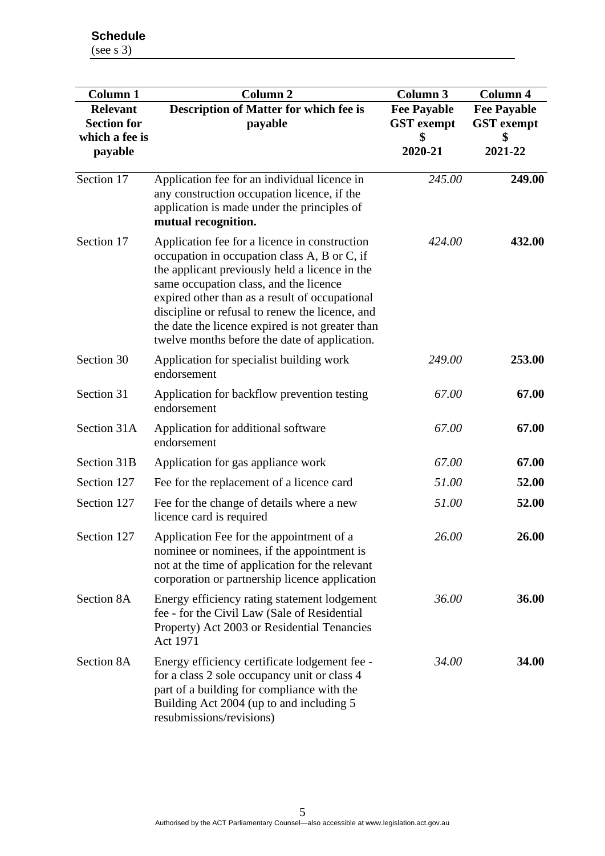**Schedule** (see s 3)

| <b>Column 1</b><br><b>Relevant</b><br><b>Section for</b><br>which a fee is | Column <sub>2</sub><br>Description of Matter for which fee is<br>payable                                                                                                                                                                                                                                                                                                                            | Column 3<br><b>Fee Payable</b><br><b>GST</b> exempt | Column 4<br><b>Fee Payable</b><br><b>GST</b> exempt |
|----------------------------------------------------------------------------|-----------------------------------------------------------------------------------------------------------------------------------------------------------------------------------------------------------------------------------------------------------------------------------------------------------------------------------------------------------------------------------------------------|-----------------------------------------------------|-----------------------------------------------------|
| payable                                                                    |                                                                                                                                                                                                                                                                                                                                                                                                     | 2020-21                                             | 2021-22                                             |
| Section 17                                                                 | Application fee for an individual licence in<br>any construction occupation licence, if the<br>application is made under the principles of<br>mutual recognition.                                                                                                                                                                                                                                   | 245.00                                              | 249.00                                              |
| Section 17                                                                 | Application fee for a licence in construction<br>occupation in occupation class A, B or C, if<br>the applicant previously held a licence in the<br>same occupation class, and the licence<br>expired other than as a result of occupational<br>discipline or refusal to renew the licence, and<br>the date the licence expired is not greater than<br>twelve months before the date of application. | 424.00                                              | 432.00                                              |
| Section 30                                                                 | Application for specialist building work<br>endorsement                                                                                                                                                                                                                                                                                                                                             | 249.00                                              | 253.00                                              |
| Section 31                                                                 | Application for backflow prevention testing<br>endorsement                                                                                                                                                                                                                                                                                                                                          | 67.00                                               | 67.00                                               |
| Section 31A                                                                | Application for additional software<br>endorsement                                                                                                                                                                                                                                                                                                                                                  | 67.00                                               | 67.00                                               |
| Section 31B                                                                | Application for gas appliance work                                                                                                                                                                                                                                                                                                                                                                  | 67.00                                               | 67.00                                               |
| Section 127                                                                | Fee for the replacement of a licence card                                                                                                                                                                                                                                                                                                                                                           | 51.00                                               | 52.00                                               |
| Section 127                                                                | Fee for the change of details where a new<br>licence card is required                                                                                                                                                                                                                                                                                                                               | 51.00                                               | 52.00                                               |
| Section 127                                                                | Application Fee for the appointment of a<br>nominee or nominees, if the appointment is<br>not at the time of application for the relevant<br>corporation or partnership licence application                                                                                                                                                                                                         | 26.00                                               | 26.00                                               |
| Section 8A                                                                 | Energy efficiency rating statement lodgement<br>fee - for the Civil Law (Sale of Residential<br>Property) Act 2003 or Residential Tenancies<br>Act 1971                                                                                                                                                                                                                                             | 36.00                                               | 36.00                                               |
| Section 8A                                                                 | Energy efficiency certificate lodgement fee -<br>for a class 2 sole occupancy unit or class 4<br>part of a building for compliance with the<br>Building Act 2004 (up to and including 5<br>resubmissions/revisions)                                                                                                                                                                                 | 34.00                                               | 34.00                                               |